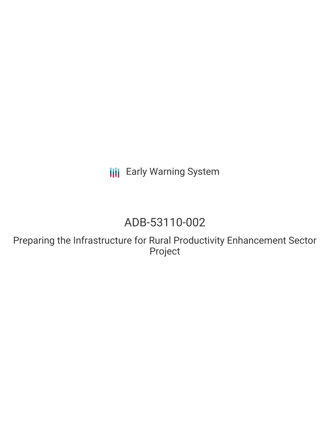**III** Early Warning System

# ADB-53110-002

Preparing the Infrastructure for Rural Productivity Enhancement Sector Project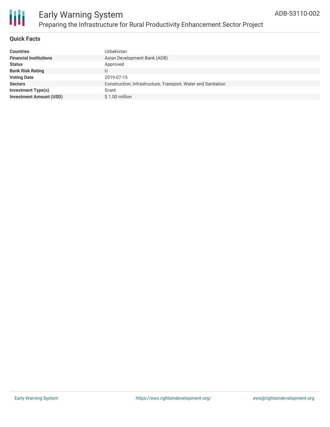

### **Quick Facts**

| <b>Countries</b>               | Uzbekistan                                                    |
|--------------------------------|---------------------------------------------------------------|
| <b>Financial Institutions</b>  | Asian Development Bank (ADB)                                  |
| <b>Status</b>                  | Approved                                                      |
| <b>Bank Risk Rating</b>        |                                                               |
| <b>Voting Date</b>             | 2019-07-15                                                    |
| <b>Sectors</b>                 | Construction, Infrastructure, Transport, Water and Sanitation |
| Investment Type(s)             | Grant                                                         |
| <b>Investment Amount (USD)</b> | \$1.00 million                                                |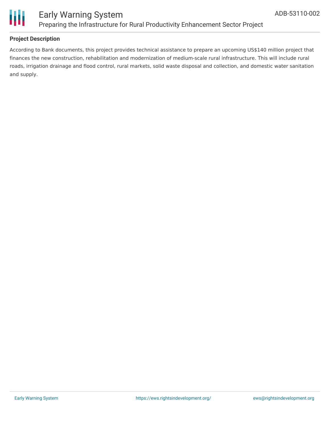

## **Project Description**

According to Bank documents, this project provides technical assistance to prepare an upcoming US\$140 million project that finances the new construction, rehabilitation and modernization of medium-scale rural infrastructure. This will include rural roads, irrigation drainage and flood control, rural markets, solid waste disposal and collection, and domestic water sanitation and supply.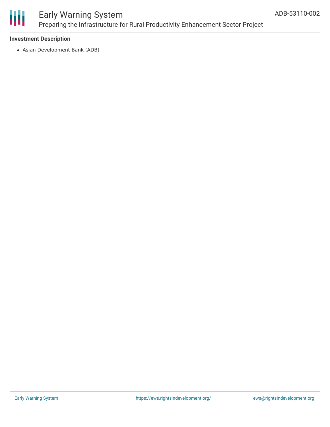

# Early Warning System Preparing the Infrastructure for Rural Productivity Enhancement Sector Project

### **Investment Description**

Asian Development Bank (ADB)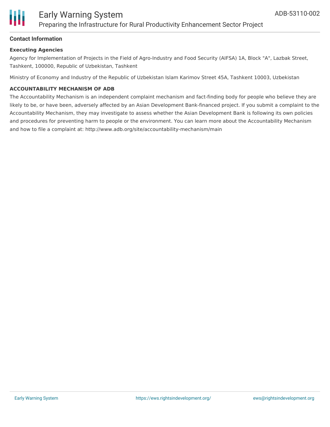

### **Contact Information**

#### **Executing Agencies**

Agency for Implementation of Projects in the Field of Agro-Industry and Food Security (AIFSA) 1A, Block "A", Lazbak Street, Tashkent, 100000, Republic of Uzbekistan, Tashkent

Ministry of Economy and Industry of the Republic of Uzbekistan Islam Karimov Street 45A, Tashkent 10003, Uzbekistan

#### **ACCOUNTABILITY MECHANISM OF ADB**

The Accountability Mechanism is an independent complaint mechanism and fact-finding body for people who believe they are likely to be, or have been, adversely affected by an Asian Development Bank-financed project. If you submit a complaint to the Accountability Mechanism, they may investigate to assess whether the Asian Development Bank is following its own policies and procedures for preventing harm to people or the environment. You can learn more about the Accountability Mechanism and how to file a complaint at: http://www.adb.org/site/accountability-mechanism/main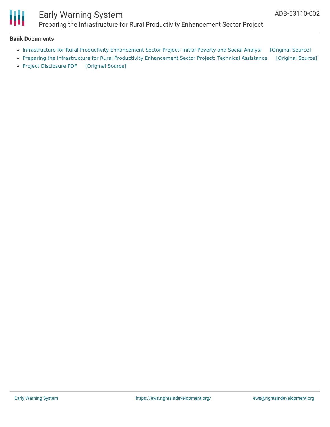

# Early Warning System Preparing the Infrastructure for Rural Productivity Enhancement Sector Project

#### **Bank Documents**

- Infrastructure for Rural Productivity [Enhancement](https://ewsdata.rightsindevelopment.org/files/documents/02/ADB-53110-002_WRsO0wu.pdf) Sector Project: Initial Poverty and Social Analysi [\[Original](https://www.adb.org/projects/documents/uzb-53110-002-ipsa) Source]
- Preparing the Infrastructure for Rural Productivity [Enhancement](https://ewsdata.rightsindevelopment.org/files/documents/02/ADB-53110-002_GST4x5S.pdf) Sector Project: Technical Assistance [\[Original](https://www.adb.org/projects/documents/uzb-53110-002-tar) Source]
- Project [Disclosure](https://ewsdata.rightsindevelopment.org/files/documents/02/ADB-53110-002.pdf) PDF [\[Original](https://www.adb.org/printpdf/projects/53110-002/main) Source]